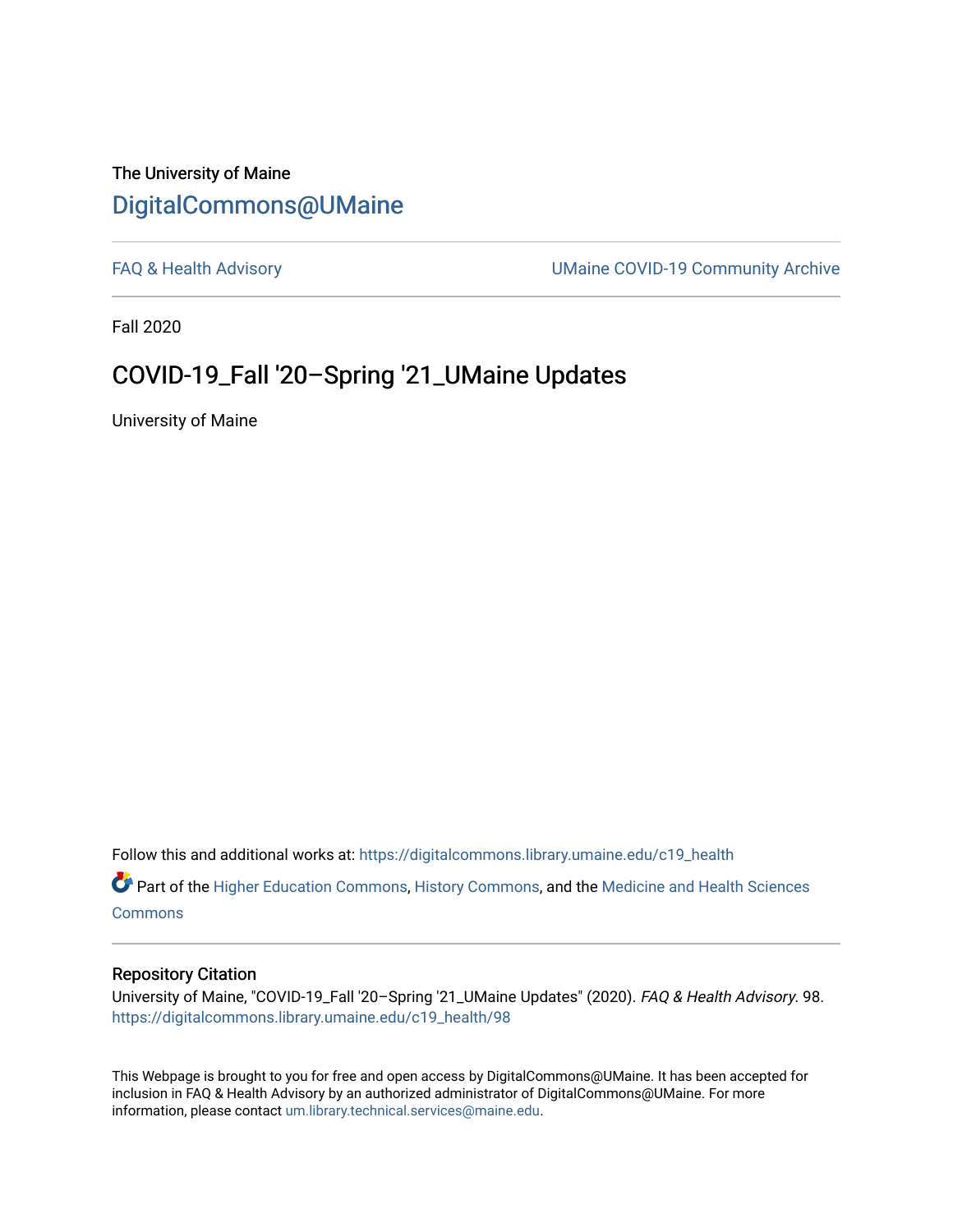#### The University of Maine [DigitalCommons@UMaine](https://digitalcommons.library.umaine.edu/)

[FAQ & Health Advisory](https://digitalcommons.library.umaine.edu/c19_health) **EXALL ACCESS** UMaine COVID-19 Community Archive

Fall 2020

#### COVID-19\_Fall '20–Spring '21\_UMaine Updates

University of Maine

Follow this and additional works at: [https://digitalcommons.library.umaine.edu/c19\\_health](https://digitalcommons.library.umaine.edu/c19_health?utm_source=digitalcommons.library.umaine.edu%2Fc19_health%2F98&utm_medium=PDF&utm_campaign=PDFCoverPages) 

Part of the [Higher Education Commons,](http://network.bepress.com/hgg/discipline/1245?utm_source=digitalcommons.library.umaine.edu%2Fc19_health%2F98&utm_medium=PDF&utm_campaign=PDFCoverPages) [History Commons,](http://network.bepress.com/hgg/discipline/489?utm_source=digitalcommons.library.umaine.edu%2Fc19_health%2F98&utm_medium=PDF&utm_campaign=PDFCoverPages) and the [Medicine and Health Sciences](http://network.bepress.com/hgg/discipline/648?utm_source=digitalcommons.library.umaine.edu%2Fc19_health%2F98&utm_medium=PDF&utm_campaign=PDFCoverPages)  **[Commons](http://network.bepress.com/hgg/discipline/648?utm_source=digitalcommons.library.umaine.edu%2Fc19_health%2F98&utm_medium=PDF&utm_campaign=PDFCoverPages)** 

#### Repository Citation

University of Maine, "COVID-19\_Fall '20–Spring '21\_UMaine Updates" (2020). FAQ & Health Advisory. 98. [https://digitalcommons.library.umaine.edu/c19\\_health/98](https://digitalcommons.library.umaine.edu/c19_health/98?utm_source=digitalcommons.library.umaine.edu%2Fc19_health%2F98&utm_medium=PDF&utm_campaign=PDFCoverPages)

This Webpage is brought to you for free and open access by DigitalCommons@UMaine. It has been accepted for inclusion in FAQ & Health Advisory by an authorized administrator of DigitalCommons@UMaine. For more information, please contact [um.library.technical.services@maine.edu](mailto:um.library.technical.services@maine.edu).